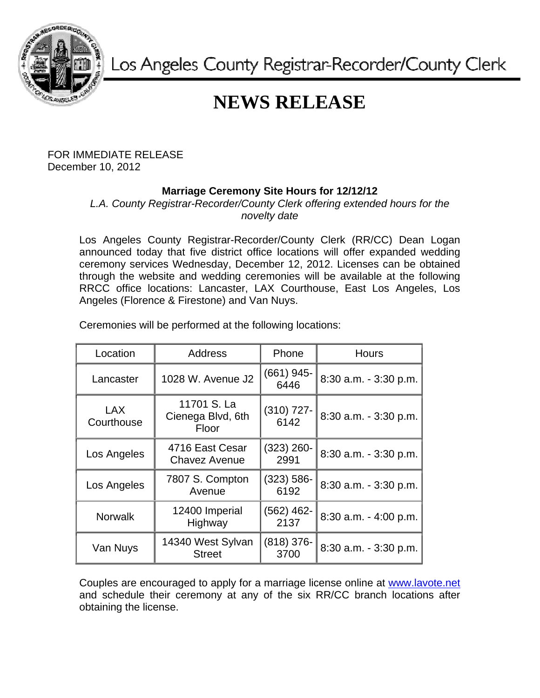

Los Angeles County Registrar-Recorder/County Clerk

## **NEWS RELEASE**

FOR IMMEDIATE RELEASE December 10, 2012

## **Marriage Ceremony Site Hours for 12/12/12**

*L.A. County Registrar-Recorder/County Clerk offering extended hours for the novelty date* 

Los Angeles County Registrar-Recorder/County Clerk (RR/CC) Dean Logan announced today that five district office locations will offer expanded wedding ceremony services Wednesday, December 12, 2012. Licenses can be obtained through the website and wedding ceremonies will be available at the following RRCC office locations: Lancaster, LAX Courthouse, East Los Angeles, Los Angeles (Florence & Firestone) and Van Nuys.

| Location                 | <b>Address</b>                            | Phone                 | <b>Hours</b>          |
|--------------------------|-------------------------------------------|-----------------------|-----------------------|
| Lancaster                | 1028 W. Avenue J2                         | $(661)$ 945-<br>6446  | 8:30 a.m. - 3:30 p.m. |
| <b>LAX</b><br>Courthouse | 11701 S. La<br>Cienega Blvd, 6th<br>Floor | $(310)$ 727-<br>6142  | 8:30 a.m. - 3:30 p.m. |
| Los Angeles              | 4716 East Cesar<br><b>Chavez Avenue</b>   | (323) 260-<br>2991    | 8:30 a.m. - 3:30 p.m. |
| Los Angeles              | 7807 S. Compton<br>Avenue                 | $(323) 586 -$<br>6192 | 8:30 a.m. - 3:30 p.m. |
| <b>Norwalk</b>           | 12400 Imperial<br>Highway                 | $(562)$ 462-<br>2137  | 8:30 a.m. - 4:00 p.m. |
| Van Nuys                 | 14340 West Sylvan<br><b>Street</b>        | $(818)$ 376-<br>3700  | 8:30 a.m. - 3:30 p.m. |

Ceremonies will be performed at the following locations:

Couples are encouraged to apply for a marriage license online at www.lavote.net and schedule their ceremony at any of the six RR/CC branch locations after obtaining the license.